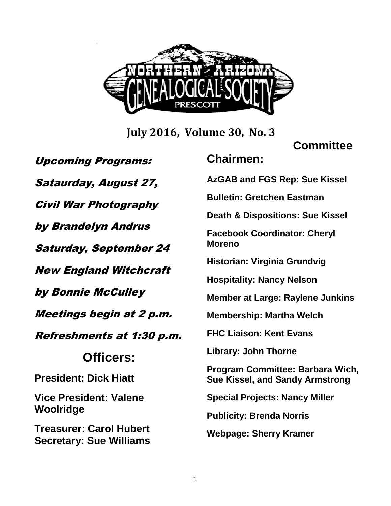

**July 2016, Volume 30, No. 3**

#### **Committee**

Upcoming Programs: Sataurday, August 27, Civil War Photography by Brandelyn Andrus Saturday, September 24 New England Witchcraft by Bonnie McCulley Meetings begin at 2 p.m. Refreshments at 1:30 p.m. **Officers: President: Dick Hiatt Vice President: Valene Woolridge Treasurer: Carol Hubert Secretary: Sue Williams Chairmen: AzGAB and FGS Rep: Sue Kissel Bulletin: Gretchen Eastman Death & Dispositions: Sue Kissel Facebook Coordinator: Cheryl Moreno Historian: Virginia Grundvig Hospitality: Nancy Nelson Member at Large: Raylene Junkins Membership: Martha Welch FHC Liaison: Kent Evans Library: John Thorne Program Committee: Barbara Wich, Sue Kissel, and Sandy Armstrong Special Projects: Nancy Miller Publicity: Brenda Norris Webpage: Sherry Kramer**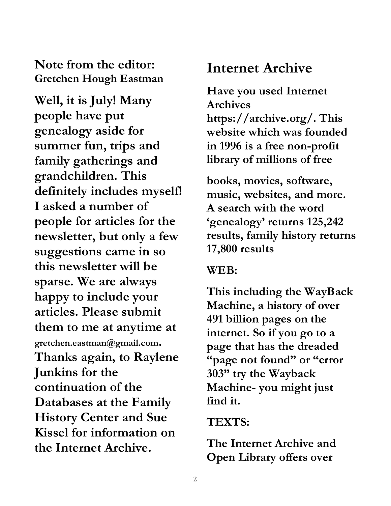#### **Note from the editor: Gretchen Hough Eastman**

**Well, it is July! Many people have put genealogy aside for summer fun, trips and family gatherings and grandchildren. This definitely includes myself! I asked a number of people for articles for the newsletter, but only a few suggestions came in so this newsletter will be sparse. We are always happy to include your articles. Please submit them to me at anytime at gretchen.eastman@gmail.com. Thanks again, to Raylene Junkins for the continuation of the Databases at the Family History Center and Sue Kissel for information on the Internet Archive.** 

## **Internet Archive**

**Have you used Internet Archives https://archive.org/. This website which was founded in 1996 is a free non-profit library of millions of free** 

**books, movies, software, music, websites, and more. A search with the word 'genealogy' returns 125,242 results, family history returns 17,800 results** 

#### **WEB:**

**This including the WayBack Machine, a history of over 491 billion pages on the internet. So if you go to a page that has the dreaded "page not found" or "error 303" try the Wayback Machine- you might just find it.** 

### **TEXTS:**

**The Internet Archive and Open Library offers over**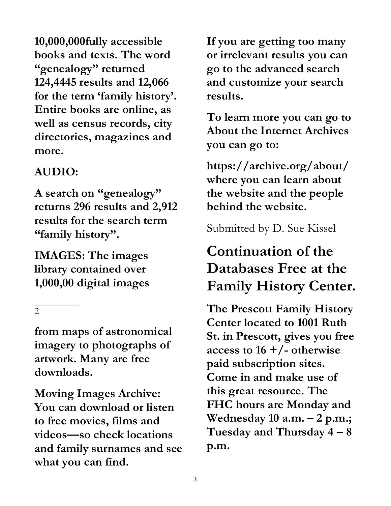**10,000,000fully accessible books and texts. The word "genealogy" returned 124,4445 results and 12,066 for the term 'family history'. Entire books are online, as well as census records, city directories, magazines and more.** 

## **AUDIO:**

**A search on "genealogy" returns 296 results and 2,912 results for the search term "family history".** 

**IMAGES: The images library contained over 1,000,00 digital images** 

2

**from maps of astronomical imagery to photographs of artwork. Many are free downloads.** 

**Moving Images Archive: You can download or listen to free movies, films and videos—so check locations and family surnames and see what you can find.** 

**If you are getting too many or irrelevant results you can go to the advanced search and customize your search results.** 

**To learn more you can go to About the Internet Archives you can go to:** 

**https://archive.org/about/ where you can learn about the website and the people behind the website.** 

Submitted by D. Sue Kissel

# **Continuation of the Databases Free at the Family History Center.**

**The Prescott Family History Center located to 1001 Ruth St. in Prescott, gives you free access to 16 +/- otherwise paid subscription sites. Come in and make use of this great resource. The FHC hours are Monday and Wednesday 10 a.m. – 2 p.m.; Tuesday and Thursday 4 – 8 p.m.**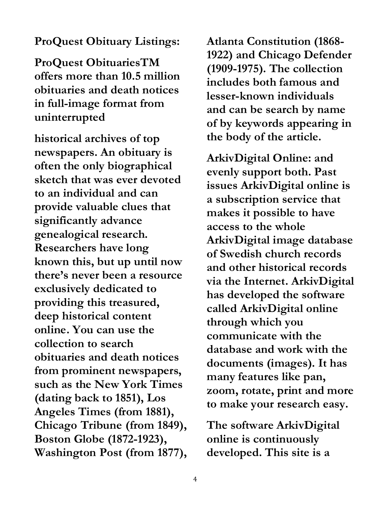#### **ProQuest Obituary Listings:**

**ProQuest ObituariesTM offers more than 10.5 million obituaries and death notices in full-image format from uninterrupted** 

**historical archives of top newspapers. An obituary is often the only biographical sketch that was ever devoted to an individual and can provide valuable clues that significantly advance genealogical research. Researchers have long known this, but up until now there's never been a resource exclusively dedicated to providing this treasured, deep historical content online. You can use the collection to search obituaries and death notices from prominent newspapers, such as the New York Times (dating back to 1851), Los Angeles Times (from 1881), Chicago Tribune (from 1849), Boston Globe (1872-1923), Washington Post (from 1877),** 

**Atlanta Constitution (1868- 1922) and Chicago Defender (1909-1975). The collection includes both famous and lesser-known individuals and can be search by name of by keywords appearing in the body of the article.** 

**ArkivDigital Online: and evenly support both. Past issues ArkivDigital online is a subscription service that makes it possible to have access to the whole ArkivDigital image database of Swedish church records and other historical records via the Internet. ArkivDigital has developed the software called ArkivDigital online through which you communicate with the database and work with the documents (images). It has many features like pan, zoom, rotate, print and more to make your research easy.** 

**The software ArkivDigital online is continuously developed. This site is a**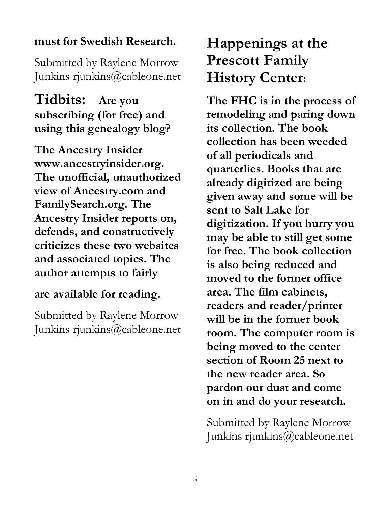#### **must for Swedish Research.**

Submitted by Raylene Morrow Junkins rjunkins@cableone.net

**Tidbits: Are you subscribing (for free) and using this genealogy blog?** 

**The Ancestry Insider www.ancestryinsider.org. The unofficial, unauthorized view of Ancestry.com and FamilySearch.org. The Ancestry Insider reports on, defends, and constructively criticizes these two websites and associated topics. The author attempts to fairly** 

#### **are available for reading.**

Submitted by Raylene Morrow Junkins rjunkins@cableone.net

# **Happenings at the Prescott Family History Center:**

**The FHC is in the process of remodeling and paring down its collection. The book collection has been weeded of all periodicals and quarterlies. Books that are already digitized are being given away and some will be sent to Salt Lake for digitization. If you hurry you may be able to still get some for free. The book collection is also being reduced and moved to the former office area. The film cabinets, readers and reader/printer will be in the former book room. The computer room is being moved to the center section of Room 25 next to the new reader area. So pardon our dust and come on in and do your research.** 

Submitted by Raylene Morrow Junkins rjunkins@cableone.net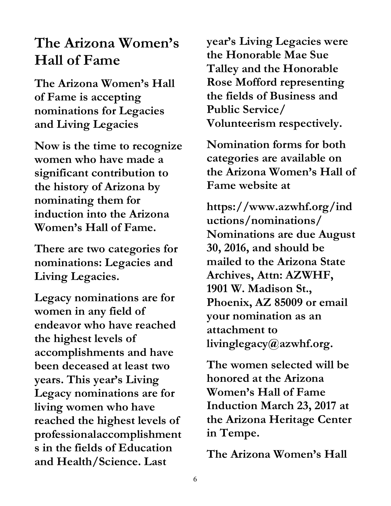## **The Arizona Women's Hall of Fame**

**The Arizona Women's Hall of Fame is accepting nominations for Legacies and Living Legacies** 

**Now is the time to recognize women who have made a significant contribution to the history of Arizona by nominating them for induction into the Arizona Women's Hall of Fame.** 

**There are two categories for nominations: Legacies and Living Legacies.** 

**Legacy nominations are for women in any field of endeavor who have reached the highest levels of accomplishments and have been deceased at least two years. This year's Living Legacy nominations are for living women who have reached the highest levels of professionalaccomplishment s in the fields of Education and Health/Science. Last** 

**year's Living Legacies were the Honorable Mae Sue Talley and the Honorable Rose Mofford representing the fields of Business and Public Service/ Volunteerism respectively.** 

**Nomination forms for both categories are available on the Arizona Women's Hall of Fame website at** 

**https://www.azwhf.org/ind uctions/nominations/ Nominations are due August 30, 2016, and should be mailed to the Arizona State Archives, Attn: AZWHF, 1901 W. Madison St., Phoenix, AZ 85009 or email your nomination as an attachment to livinglegacy@azwhf.org.** 

**The women selected will be honored at the Arizona Women's Hall of Fame Induction March 23, 2017 at the Arizona Heritage Center in Tempe.** 

**The Arizona Women's Hall**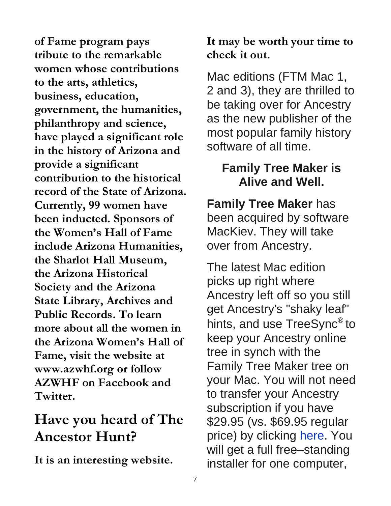**of Fame program pays tribute to the remarkable women whose contributions to the arts, athletics, business, education, government, the humanities, philanthropy and science, have played a significant role in the history of Arizona and provide a significant contribution to the historical record of the State of Arizona. Currently, 99 women have been inducted. Sponsors of the Women's Hall of Fame include Arizona Humanities, the Sharlot Hall Museum, the Arizona Historical Society and the Arizona State Library, Archives and Public Records. To learn more about all the women in the Arizona Women's Hall of Fame, visit the website at www.azwhf.org or follow AZWHF on Facebook and Twitter.** 

## **Have you heard of The Ancestor Hunt?**

**It is an interesting website.** 

**It may be worth your time to check it out.** 

Mac editions (FTM Mac 1, 2 and 3), they are thrilled to be taking over for Ancestry as the new publisher of the most popular family history software of all time.

## **Family Tree Maker is Alive and Well.**

**Family Tree Maker** has been acquired by software MacKiev. They will take over from Ancestry.

The latest Mac edition picks up right where Ancestry left off so you still get Ancestry's "shaky leaf" hints, and use TreeSync<sup>®</sup> to keep your Ancestry online tree in synch with the Family Tree Maker tree on your Mac. You will not need to transfer your Ancestry subscription if you have \$29.95 (vs. \$69.95 regular price) by clicking here. You will get a full free–standing installer for one computer,